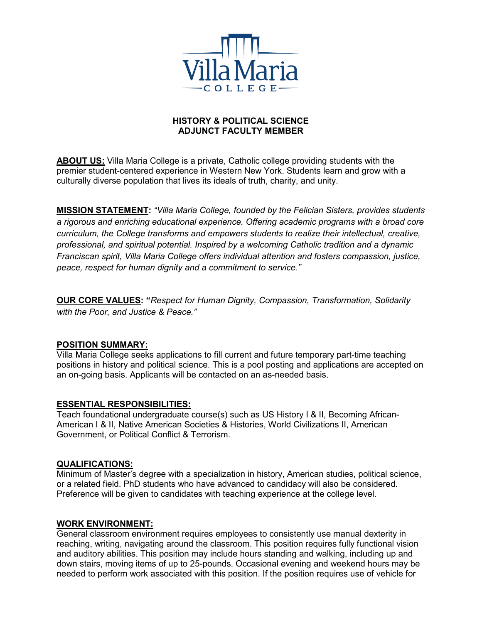

# **HISTORY & POLITICAL SCIENCE ADJUNCT FACULTY MEMBER**

**ABOUT US:** Villa Maria College is a private, Catholic college providing students with the premier student-centered experience in Western New York. Students learn and grow with a culturally diverse population that lives its ideals of truth, charity, and unity.

**MISSION STATEMENT:** *"Villa Maria College, founded by the Felician Sisters, provides students a rigorous and enriching educational experience. Offering academic programs with a broad core curriculum, the College transforms and empowers students to realize their intellectual, creative, professional, and spiritual potential. Inspired by a welcoming Catholic tradition and a dynamic Franciscan spirit, Villa Maria College offers individual attention and fosters compassion, justice, peace, respect for human dignity and a commitment to service*.*"*

**OUR CORE VALUES: "***Respect for Human Dignity, Compassion, Transformation, Solidarity with the Poor, and Justice & Peace."*

## **POSITION SUMMARY:**

Villa Maria College seeks applications to fill current and future temporary part-time teaching positions in history and political science. This is a pool posting and applications are accepted on an on-going basis. Applicants will be contacted on an as-needed basis.

## **ESSENTIAL RESPONSIBILITIES:**

Teach foundational undergraduate course(s) such as US History I & II, Becoming African-American I & II, Native American Societies & Histories, World Civilizations II, American Government, or Political Conflict & Terrorism.

#### **QUALIFICATIONS:**

Minimum of Master's degree with a specialization in history, American studies, political science, or a related field. PhD students who have advanced to candidacy will also be considered. Preference will be given to candidates with teaching experience at the college level.

## **WORK ENVIRONMENT:**

General classroom environment requires employees to consistently use manual dexterity in reaching, writing, navigating around the classroom. This position requires fully functional vision and auditory abilities. This position may include hours standing and walking, including up and down stairs, moving items of up to 25-pounds. Occasional evening and weekend hours may be needed to perform work associated with this position. If the position requires use of vehicle for